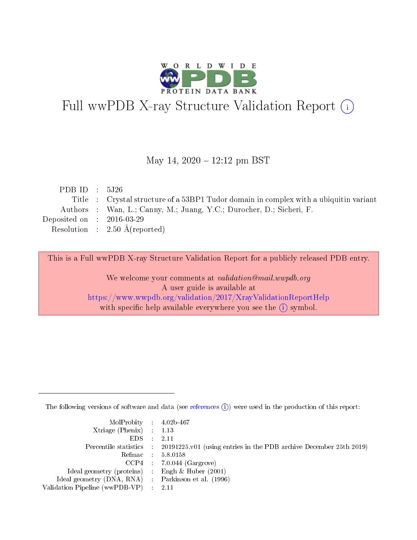

# Full wwPDB X-ray Structure Validation Report (i)

#### May 14,  $2020 - 12:12$  pm BST

| PDB ID : $5J26$             |                                                                                        |
|-----------------------------|----------------------------------------------------------------------------------------|
|                             | Title : Crystal structure of a 53BP1 Tudor domain in complex with a ubiquitine variant |
|                             | Authors : Wan, L.; Canny, M.; Juang, Y.C.; Durocher, D.; Sicheri, F.                   |
| Deposited on : $2016-03-29$ |                                                                                        |
|                             | Resolution : $2.50 \text{ Å}$ (reported)                                               |
|                             |                                                                                        |

This is a Full wwPDB X-ray Structure Validation Report for a publicly released PDB entry.

We welcome your comments at validation@mail.wwpdb.org A user guide is available at <https://www.wwpdb.org/validation/2017/XrayValidationReportHelp> with specific help available everywhere you see the  $(i)$  symbol.

The following versions of software and data (see [references](https://www.wwpdb.org/validation/2017/XrayValidationReportHelp#references)  $(i)$ ) were used in the production of this report:

| $MolProbability$ 4.02b-467                          |                                                                                            |
|-----------------------------------------------------|--------------------------------------------------------------------------------------------|
| Xtriage (Phenix) $: 1.13$                           |                                                                                            |
| $EDS$ :                                             | -2.11                                                                                      |
|                                                     | Percentile statistics : 20191225.v01 (using entries in the PDB archive December 25th 2019) |
|                                                     | Refmac : 5.8.0158                                                                          |
|                                                     | $CCP4$ : 7.0.044 (Gargrove)                                                                |
| Ideal geometry (proteins) : Engh $\&$ Huber (2001)  |                                                                                            |
| Ideal geometry (DNA, RNA) : Parkinson et al. (1996) |                                                                                            |
| Validation Pipeline (wwPDB-VP)                      | -2.11                                                                                      |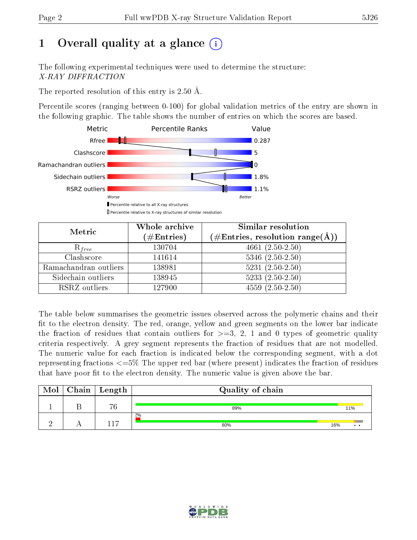# 1 [O](https://www.wwpdb.org/validation/2017/XrayValidationReportHelp#overall_quality)verall quality at a glance  $(i)$

The following experimental techniques were used to determine the structure: X-RAY DIFFRACTION

The reported resolution of this entry is 2.50 Å.

Percentile scores (ranging between 0-100) for global validation metrics of the entry are shown in the following graphic. The table shows the number of entries on which the scores are based.



| Metric                | Whole archive<br>$(\#\text{Entries})$ | Similar resolution<br>$(\#\text{Entries},\,\text{resolution}\,\,\text{range}(\textup{\AA}))$ |  |  |
|-----------------------|---------------------------------------|----------------------------------------------------------------------------------------------|--|--|
| $R_{free}$            | 130704                                | 4661 $(2.50-2.50)$                                                                           |  |  |
| Clashscore            | 141614                                | $5346$ $(2.50-2.50)$                                                                         |  |  |
| Ramachandran outliers | 138981                                | $5231 (2.50 - 2.50)$                                                                         |  |  |
| Sidechain outliers    | 138945                                | $5233(2.50-2.50)$                                                                            |  |  |
| RSRZ outliers         | 127900                                | $4559(2.50-2.50)$                                                                            |  |  |

The table below summarises the geometric issues observed across the polymeric chains and their fit to the electron density. The red, orange, yellow and green segments on the lower bar indicate the fraction of residues that contain outliers for  $>=3, 2, 1$  and 0 types of geometric quality criteria respectively. A grey segment represents the fraction of residues that are not modelled. The numeric value for each fraction is indicated below the corresponding segment, with a dot representing fractions  $\epsilon=5\%$  The upper red bar (where present) indicates the fraction of residues that have poor fit to the electron density. The numeric value is given above the bar.

| Mol | Chain | Length | Quality of chain |                        |
|-----|-------|--------|------------------|------------------------|
|     |       | 76     | 89%              | 11%                    |
|     |       | -17    | $2\%$<br>80%     | 16%<br>$\cdot$ $\cdot$ |

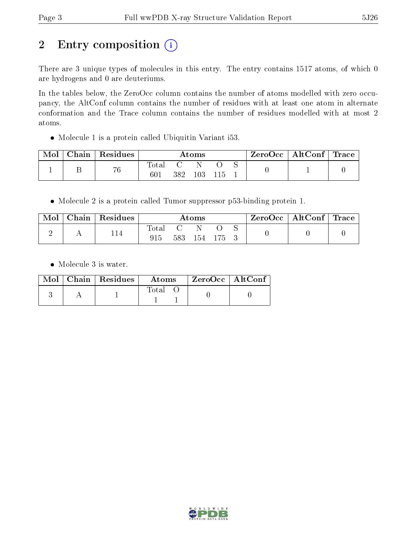# 2 Entry composition (i)

There are 3 unique types of molecules in this entry. The entry contains 1517 atoms, of which 0 are hydrogens and 0 are deuteriums.

In the tables below, the ZeroOcc column contains the number of atoms modelled with zero occupancy, the AltConf column contains the number of residues with at least one atom in alternate conformation and the Trace column contains the number of residues modelled with at most 2 atoms.

Molecule 1 is a protein called Ubiquitin Variant i53.

| Mol | $\text{Chain}$ | Residues | Atoms        |     |     | $\text{ZeroOcc} \mid \text{AltConf} \mid \text{Trace}$ |  |  |  |
|-----|----------------|----------|--------------|-----|-----|--------------------------------------------------------|--|--|--|
|     |                | 76       | lota.<br>601 | 382 | 103 |                                                        |  |  |  |

Molecule 2 is a protein called Tumor suppressor p53-binding protein 1.

| Mol | $\cap$ hain | Residues | Atoms        |     |     | ZeroOcc   AltConf   Trace |  |  |  |
|-----|-------------|----------|--------------|-----|-----|---------------------------|--|--|--|
|     |             | 114      | Total<br>915 | 583 | 154 | - 175 -                   |  |  |  |

• Molecule 3 is water.

|  | $Mol$   Chain   Residues | Atoms       | $\mid$ ZeroOcc $\mid$ AltConf $\mid$ |  |
|--|--------------------------|-------------|--------------------------------------|--|
|  |                          | $\rm Total$ |                                      |  |

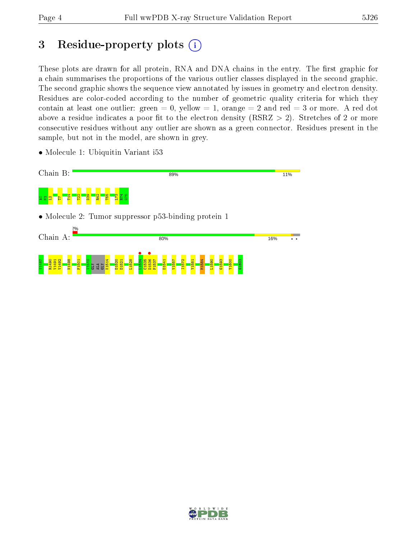# 3 Residue-property plots  $(i)$

These plots are drawn for all protein, RNA and DNA chains in the entry. The first graphic for a chain summarises the proportions of the various outlier classes displayed in the second graphic. The second graphic shows the sequence view annotated by issues in geometry and electron density. Residues are color-coded according to the number of geometric quality criteria for which they contain at least one outlier: green  $= 0$ , yellow  $= 1$ , orange  $= 2$  and red  $= 3$  or more. A red dot above a residue indicates a poor fit to the electron density (RSRZ  $> 2$ ). Stretches of 2 or more consecutive residues without any outlier are shown as a green connector. Residues present in the sample, but not in the model, are shown in grey.

- Chain B: **11%** 89% An<mark>di</mark>as  $\frac{22}{2}$  $\frac{8}{2}$ R42 T55 L73 R74 G75 • Molecule 2: Tumor suppressor p53-binding protein 1 Chain A: 80% 16%  $\overline{\cdot \cdot}$  $L1534$   $\bullet$ D1536 •<br><sub>D1537</sub> 1498<br>1490 V1490<br>1490 V1490<br>1491 V1498 F1501 V1510 K1514 D1520 D1521 L1528  $535$ P1537 D1541 V1557 I1572 Y1581 M1584 L1590 G1593 Y1600 G1603GLY ALA  $\overline{\text{H}}$
- Molecule 1: Ubiquitin Variant i53

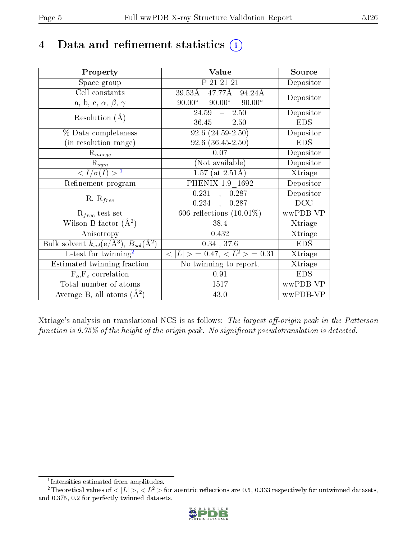# 4 Data and refinement statistics  $(i)$

| Property                                                         | Value                                             | Source     |
|------------------------------------------------------------------|---------------------------------------------------|------------|
| Space group                                                      | P 21 21 21                                        | Depositor  |
| Cell constants                                                   | $47.77$ Å $94.24$ Å<br>$39.53\rm\AA$              | Depositor  |
| a, b, c, $\alpha$ , $\beta$ , $\gamma$                           | $90.00^\circ$<br>$90.00^{\circ}$<br>$90.00^\circ$ |            |
| Resolution $(A)$                                                 | $24.59 - 2.50$                                    | Depositor  |
|                                                                  | $36.45 - 2.50$                                    | <b>EDS</b> |
| $\%$ Data completeness                                           | $\overline{92.6 (24.59-2.50)}$                    | Depositor  |
| (in resolution range)                                            | $92.6$ $(36.45-2.50)$                             | <b>EDS</b> |
| $R_{merge}$                                                      | 0.07                                              | Depositor  |
| $\mathrm{R}_{sym}$                                               | (Not available)                                   | Depositor  |
| $\langle I/\sigma(I) \rangle^{-1}$                               | $1.57$ (at $2.51\text{\AA})$                      | Xtriage    |
| Refinement program                                               | PHENIX 1.9 1692                                   | Depositor  |
|                                                                  | 0.231<br>0.287<br>$\sim$                          | Depositor  |
| $R, R_{free}$                                                    | 0.234,<br>0.287                                   | DCC        |
| $R_{free}$ test set                                              | 606 reflections $(10.01\%)$                       | wwPDB-VP   |
| Wilson B-factor $(A^2)$                                          | 38.4                                              | Xtriage    |
| Anisotropy                                                       | 0.432                                             | Xtriage    |
| Bulk solvent $k_{sol}(\text{e}/\text{A}^3), B_{sol}(\text{A}^2)$ | $0.34$ , 37.6                                     | <b>EDS</b> |
| L-test for $\mathrm{twinning}^2$                                 | $< L >$ = 0.47, $< L2$ = 0.31                     | Xtriage    |
| Estimated twinning fraction                                      | No twinning to report.                            | Xtriage    |
| $\overline{F_o}, \overline{F_c}$ correlation                     | 0.91                                              | <b>EDS</b> |
| Total number of atoms                                            | 1517                                              | wwPDB-VP   |
| Average B, all atoms $(A^2)$                                     | 43.0                                              | wwPDB-VP   |

Xtriage's analysis on translational NCS is as follows: The largest off-origin peak in the Patterson function is  $9.75\%$  of the height of the origin peak. No significant pseudotranslation is detected.

<sup>&</sup>lt;sup>2</sup>Theoretical values of  $\langle |L| \rangle$ ,  $\langle L^2 \rangle$  for acentric reflections are 0.5, 0.333 respectively for untwinned datasets, and 0.375, 0.2 for perfectly twinned datasets.



<span id="page-4-1"></span><span id="page-4-0"></span><sup>1</sup> Intensities estimated from amplitudes.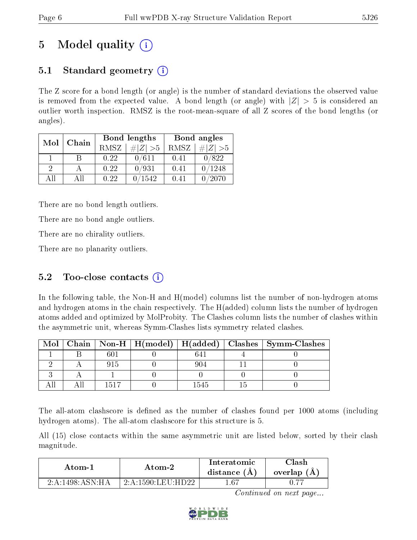# 5 Model quality  $(i)$

### 5.1 Standard geometry  $(i)$

The Z score for a bond length (or angle) is the number of standard deviations the observed value is removed from the expected value. A bond length (or angle) with  $|Z| > 5$  is considered an outlier worth inspection. RMSZ is the root-mean-square of all Z scores of the bond lengths (or angles).

| Mol      | Chain |      | Bond lengths                 | Bond angles |                 |  |
|----------|-------|------|------------------------------|-------------|-----------------|--|
|          |       | RMSZ | $\vert \# \vert Z \vert > 5$ | RMSZ        | # $ Z  > 5$     |  |
|          | В     | 0.22 | 0/611                        | 0.41        | 0/822           |  |
| $\Omega$ |       | 0.22 | 0/931                        | 0.41        | /1248           |  |
| AII      | All   | 0.22 | 1542                         | 0.41        | $^{\prime}2070$ |  |

There are no bond length outliers.

There are no bond angle outliers.

There are no chirality outliers.

There are no planarity outliers.

### 5.2 Too-close contacts  $(i)$

In the following table, the Non-H and H(model) columns list the number of non-hydrogen atoms and hydrogen atoms in the chain respectively. The H(added) column lists the number of hydrogen atoms added and optimized by MolProbity. The Clashes column lists the number of clashes within the asymmetric unit, whereas Symm-Clashes lists symmetry related clashes.

| Mol |      |  | Chain   Non-H   H(model)   H(added)   Clashes   Symm-Clashes |
|-----|------|--|--------------------------------------------------------------|
|     | 601  |  |                                                              |
|     |      |  |                                                              |
|     |      |  |                                                              |
|     | 1517 |  |                                                              |

The all-atom clashscore is defined as the number of clashes found per 1000 atoms (including hydrogen atoms). The all-atom clashscore for this structure is 5.

All (15) close contacts within the same asymmetric unit are listed below, sorted by their clash magnitude.

| Atom-1              | Atom-2              | Interatomic<br>distance $(A)$ | Clash<br>overlap (A) |  |
|---------------------|---------------------|-------------------------------|----------------------|--|
| 2: A: 1498: ASN: HA | $2-A-1590$ LEU HD22 | .67                           |                      |  |

Continued on next page...

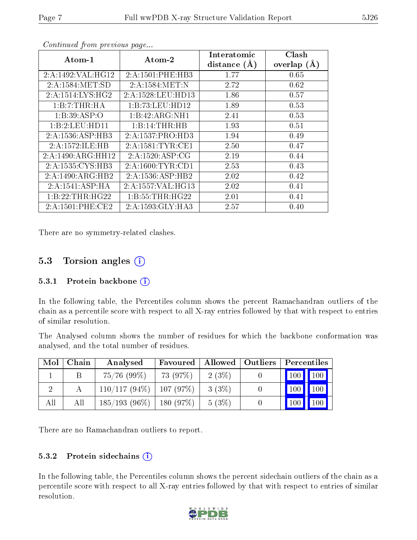| $\boldsymbol{\mathrm{Atom}\text{-}1}$ | $\boldsymbol{\mathrm{Atom}\text{-}2}$ | Interatomic     | Clash         |
|---------------------------------------|---------------------------------------|-----------------|---------------|
|                                       |                                       | distance<br>(A) | overlap $(A)$ |
| 2:A:1492:VAL:HG12                     | 2:A:1501:PHE:HB3                      | 1.77            | 0.65          |
| 2:A:1584:MET:SD                       | 2:A:1584:MET:N                        | 2.72            | 0.62          |
| 2:A:1514:LYS:HG2                      | 2:A:1528:LEU:HD13                     | 1.86            | 0.57          |
| 1:B:7:THR:HA                          | 1:B:73:LEU:HD12                       | 1.89            | 0.53          |
| 1:B:39:ASP:O                          | 1:B:42:ARG:NH1                        | 2.41            | 0.53          |
| 1:B:2:LEU:HD11                        | 1:B:14:THR:HB                         | 1.93            | 0.51          |
| 2:A:1536:ASP:HB3                      | 2:A:1537:PRO:HD3                      | 1.94            | 0.49          |
| 2:A:1572:ILE:HB                       | 2:A:1581:TYR:CE1                      | 2.50            | 0.47          |
| 2:A:1490:ARG:HH12                     | 2:A:1520:ASP:CG                       | 2.19            | 0.44          |
| 2:A:1535: CYS: HB3                    | 2:A:1600:TYR:CD1                      | 2.53            | 0.43          |
| 2:A:1490:ARG:HB2                      | 2:A:1536:ASP:HB2                      | 2.02            | 0.42          |
| 2:A:1541:ASP:HA                       | 2:A:1557:VAL:HG13                     | 2.02            | 0.41          |
| 1:B:22:THR:HG22                       | 1: B: 55: THR: HG22                   | 2.01            | 0.41          |
| 2:A:1501:PHE:CE2                      | 2:A:1593:GLY:HA3                      | 2.57            | 0.40          |

Continued from previous page...

There are no symmetry-related clashes.

### 5.3 Torsion angles (i)

#### 5.3.1 Protein backbone  $(i)$

In the following table, the Percentiles column shows the percent Ramachandran outliers of the chain as a percentile score with respect to all X-ray entries followed by that with respect to entries of similar resolution.

The Analysed column shows the number of residues for which the backbone conformation was analysed, and the total number of residues.

| Mol | Chain | Analysed        | Favoured |       | Allowed   Outliers | Percentiles |                  |
|-----|-------|-----------------|----------|-------|--------------------|-------------|------------------|
|     |       | $75/76$ (99%)   | 73 (97%) | 2(3%) |                    | 100         | 100              |
|     |       | $110/117(94\%)$ | 107(97%) | 3(3%) |                    | <b>100</b>  | 100 <sub>1</sub> |
| All | Аll   | $185/193(96\%)$ | 180(97%) | 5(3%) |                    | 100         | $100^{\degree}$  |

There are no Ramachandran outliers to report.

#### 5.3.2 Protein sidechains (i)

In the following table, the Percentiles column shows the percent sidechain outliers of the chain as a percentile score with respect to all X-ray entries followed by that with respect to entries of similar resolution.

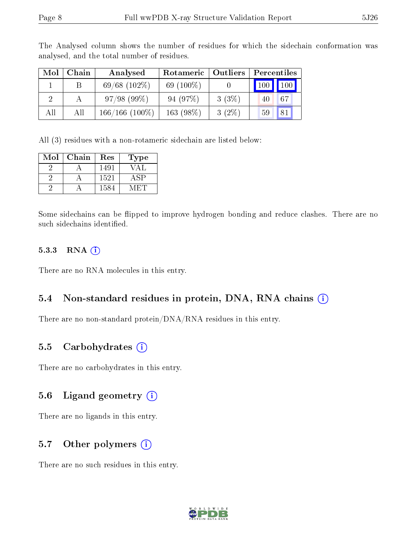| Mol | Chain       | Analysed          | Rotameric    | Outliers | Percentiles        |
|-----|-------------|-------------------|--------------|----------|--------------------|
|     | $\mathsf B$ | $69/68$ $(102\%)$ | 69 $(100\%)$ |          | 100<br>$\vert$ 100 |
|     |             | 97/98(99%)        | 94 (97\%)    | $3(3\%)$ | 67<br>40           |
| All | All         | $166/166$ (100\%) | $163(98\%)$  | $3(2\%)$ | 81<br>59           |

The Analysed column shows the number of residues for which the sidechain conformation was analysed, and the total number of residues.

All (3) residues with a non-rotameric sidechain are listed below:

| Mol | Chain | $\operatorname{Res}% \left( \mathcal{N}\right) \equiv\operatorname{Res}(\mathcal{N}_{0})\cap\mathcal{N}_{1}$ | Type |
|-----|-------|--------------------------------------------------------------------------------------------------------------|------|
|     |       | 1491                                                                                                         | VAL  |
|     |       | 1521                                                                                                         | ASP. |
|     |       | 1584                                                                                                         |      |

Some sidechains can be flipped to improve hydrogen bonding and reduce clashes. There are no such sidechains identified.

#### 5.3.3 RNA (1)

There are no RNA molecules in this entry.

#### 5.4 Non-standard residues in protein, DNA, RNA chains (i)

There are no non-standard protein/DNA/RNA residues in this entry.

#### 5.5 Carbohydrates (i)

There are no carbohydrates in this entry.

#### 5.6 Ligand geometry (i)

There are no ligands in this entry.

#### 5.7 [O](https://www.wwpdb.org/validation/2017/XrayValidationReportHelp#nonstandard_residues_and_ligands)ther polymers  $(i)$

There are no such residues in this entry.

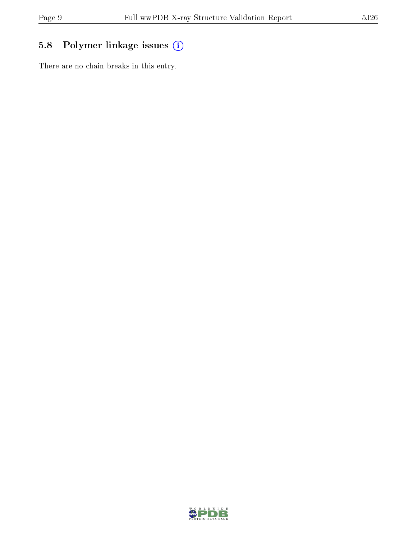## 5.8 Polymer linkage issues (i)

There are no chain breaks in this entry.